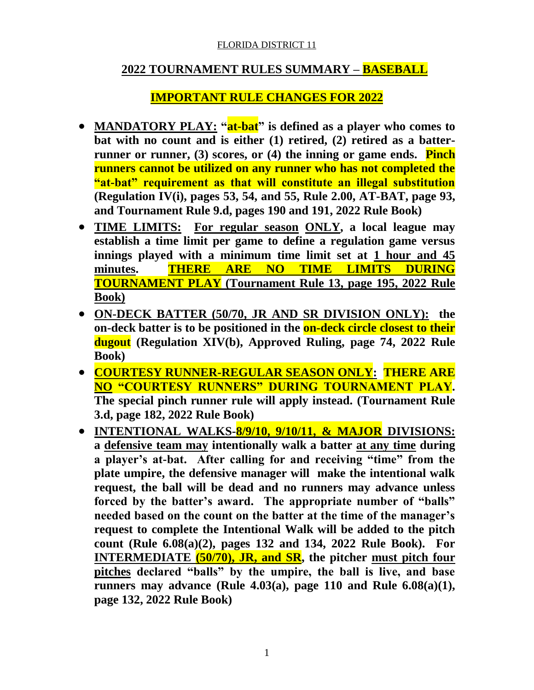# **2022 TOURNAMENT RULES SUMMARY – BASEBALL**

# **IMPORTANT RULE CHANGES FOR 2022**

- **MANDATORY PLAY: "at-bat" is defined as a player who comes to bat with no count and is either (1) retired, (2) retired as a batterrunner or runner, (3) scores, or (4) the inning or game ends. Pinch runners cannot be utilized on any runner who has not completed the "at-bat" requirement as that will constitute an illegal substitution (Regulation IV(i), pages 53, 54, and 55, Rule 2.00, AT-BAT, page 93, and Tournament Rule 9.d, pages 190 and 191, 2022 Rule Book)**
- **TIME LIMITS: For regular season ONLY, a local league may establish a time limit per game to define a regulation game versus innings played with a minimum time limit set at 1 hour and 45 minutes. THERE ARE NO TIME LIMITS DURING TOURNAMENT PLAY (Tournament Rule 13, page 195, 2022 Rule Book)**
- **ON-DECK BATTER (50/70, JR AND SR DIVISION ONLY): the on-deck batter is to be positioned in the on-deck circle closest to their dugout (Regulation XIV(b), Approved Ruling, page 74, 2022 Rule Book)**
- **COURTESY RUNNER-REGULAR SEASON ONLY: THERE ARE NO "COURTESY RUNNERS" DURING TOURNAMENT PLAY. The special pinch runner rule will apply instead. (Tournament Rule 3.d, page 182, 2022 Rule Book)**
- **INTENTIONAL WALKS-8/9/10, 9/10/11, & MAJOR DIVISIONS: a defensive team may intentionally walk a batter at any time during a player's at-bat. After calling for and receiving "time" from the plate umpire, the defensive manager will make the intentional walk request, the ball will be dead and no runners may advance unless forced by the batter's award. The appropriate number of "balls" needed based on the count on the batter at the time of the manager's request to complete the Intentional Walk will be added to the pitch count (Rule 6.08(a)(2), pages 132 and 134, 2022 Rule Book). For INTERMEDIATE (50/70), JR, and SR, the pitcher must pitch four pitches declared "balls" by the umpire, the ball is live, and base runners may advance (Rule 4.03(a), page 110 and Rule 6.08(a)(1), page 132, 2022 Rule Book)**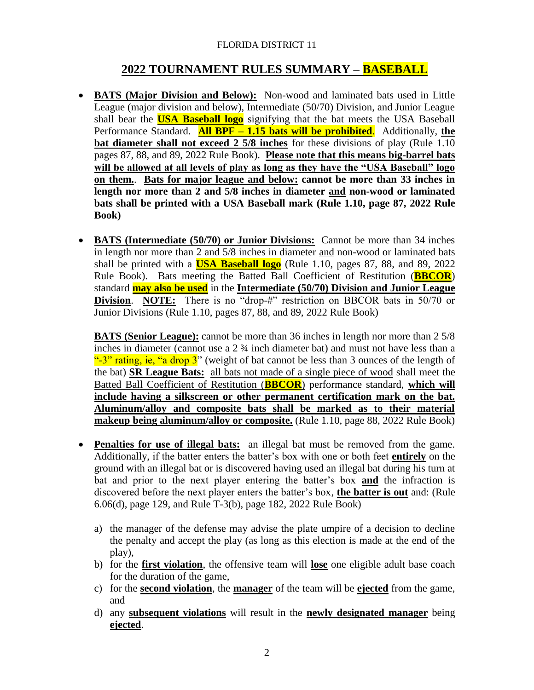# **2022 TOURNAMENT RULES SUMMARY – BASEBALL**

- **BATS** (Major Division and Below): Non-wood and laminated bats used in Little League (major division and below), Intermediate (50/70) Division, and Junior League shall bear the **USA Baseball logo** signifying that the bat meets the USA Baseball Performance Standard. **All BPF – 1.15 bats will be prohibited**. Additionally, **the bat diameter shall not exceed 2 5/8 inches** for these divisions of play (Rule 1.10) pages 87, 88, and 89, 2022 Rule Book). **Please note that this means big-barrel bats will be allowed at all levels of play as long as they have the "USA Baseball" logo on them.**. **Bats for major league and below: cannot be more than 33 inches in length nor more than 2 and 5/8 inches in diameter and non-wood or laminated bats shall be printed with a USA Baseball mark (Rule 1.10, page 87, 2022 Rule Book)**
- **BATS (Intermediate (50/70) or Junior Divisions:** Cannot be more than 34 inches in length nor more than 2 and 5/8 inches in diameter and non-wood or laminated bats shall be printed with a **USA Baseball logo** (Rule 1.10, pages 87, 88, and 89, 2022 Rule Book). Bats meeting the Batted Ball Coefficient of Restitution (**BBCOR**) standard **may also be used** in the **Intermediate (50/70) Division and Junior League Division. NOTE:** There is no "drop-#" restriction on BBCOR bats in 50/70 or Junior Divisions (Rule 1.10, pages 87, 88, and 89, 2022 Rule Book)

 **BATS (Senior League):** cannot be more than 36 inches in length nor more than 2 5/8 inches in diameter (cannot use a 2  $\frac{3}{4}$  inch diameter bat) and must not have less than a "-3" rating, ie, "a drop  $3$ " (weight of bat cannot be less than 3 ounces of the length of the bat) **SR League Bats:** all bats not made of a single piece of wood shall meet the Batted Ball Coefficient of Restitution (**BBCOR**) performance standard, **which will include having a silkscreen or other permanent certification mark on the bat. Aluminum/alloy and composite bats shall be marked as to their material makeup being aluminum/alloy or composite.** (Rule 1.10, page 88, 2022 Rule Book)

- **Penalties for use of illegal bats:** an illegal bat must be removed from the game. Additionally, if the batter enters the batter's box with one or both feet **entirely** on the ground with an illegal bat or is discovered having used an illegal bat during his turn at bat and prior to the next player entering the batter's box **and** the infraction is discovered before the next player enters the batter's box, **the batter is out** and: (Rule 6.06(d), page 129, and Rule T-3(b), page 182, 2022 Rule Book)
	- a) the manager of the defense may advise the plate umpire of a decision to decline the penalty and accept the play (as long as this election is made at the end of the play),
	- b) for the **first violation**, the offensive team will **lose** one eligible adult base coach for the duration of the game,
	- c) for the **second violation**, the **manager** of the team will be **ejected** from the game, and
	- d) any **subsequent violations** will result in the **newly designated manager** being **ejected**.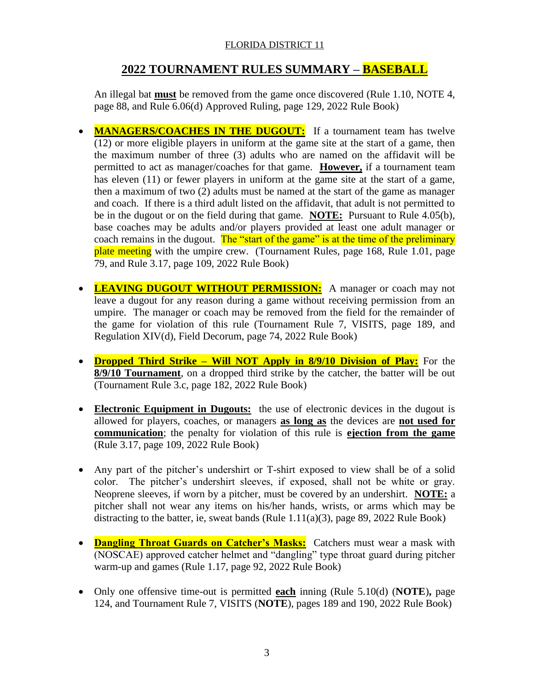# **2022 TOURNAMENT RULES SUMMARY – BASEBALL**

An illegal bat **must** be removed from the game once discovered (Rule 1.10, NOTE 4, page 88, and Rule 6.06(d) Approved Ruling, page 129, 2022 Rule Book)

- **MANAGERS/COACHES IN THE DUGOUT:** If a tournament team has twelve (12) or more eligible players in uniform at the game site at the start of a game, then the maximum number of three (3) adults who are named on the affidavit will be permitted to act as manager/coaches for that game. **However,** if a tournament team has eleven (11) or fewer players in uniform at the game site at the start of a game, then a maximum of two (2) adults must be named at the start of the game as manager and coach. If there is a third adult listed on the affidavit, that adult is not permitted to be in the dugout or on the field during that game. **NOTE:** Pursuant to Rule 4.05(b), base coaches may be adults and/or players provided at least one adult manager or coach remains in the dugout. The "start of the game" is at the time of the preliminary plate meeting with the umpire crew. (Tournament Rules, page 168, Rule 1.01, page 79, and Rule 3.17, page 109, 2022 Rule Book)
- **LEAVING DUGOUT WITHOUT PERMISSION:** A manager or coach may not leave a dugout for any reason during a game without receiving permission from an umpire. The manager or coach may be removed from the field for the remainder of the game for violation of this rule (Tournament Rule 7, VISITS, page 189, and Regulation XIV(d), Field Decorum, page 74, 2022 Rule Book)
- **Dropped Third Strike – Will NOT Apply in 8/9/10 Division of Play:** For the **8/9/10 Tournament**, on a dropped third strike by the catcher, the batter will be out (Tournament Rule 3.c, page 182, 2022 Rule Book)
- **Electronic Equipment in Dugouts:** the use of electronic devices in the dugout is allowed for players, coaches, or managers **as long as** the devices are **not used for communication**; the penalty for violation of this rule is **ejection from the game** (Rule 3.17, page 109, 2022 Rule Book)
- Any part of the pitcher's undershirt or T-shirt exposed to view shall be of a solid color. The pitcher's undershirt sleeves, if exposed, shall not be white or gray. Neoprene sleeves, if worn by a pitcher, must be covered by an undershirt. **NOTE:** a pitcher shall not wear any items on his/her hands, wrists, or arms which may be distracting to the batter, ie, sweat bands (Rule  $1.11(a)(3)$ , page 89, 2022 Rule Book)
- **Dangling Throat Guards on Catcher's Masks:** Catchers must wear a mask with (NOSCAE) approved catcher helmet and "dangling" type throat guard during pitcher warm-up and games (Rule 1.17, page 92, 2022 Rule Book)
- Only one offensive time-out is permitted **each** inning (Rule 5.10(d) (**NOTE**)**,** page 124, and Tournament Rule 7, VISITS (**NOTE**), pages 189 and 190, 2022 Rule Book)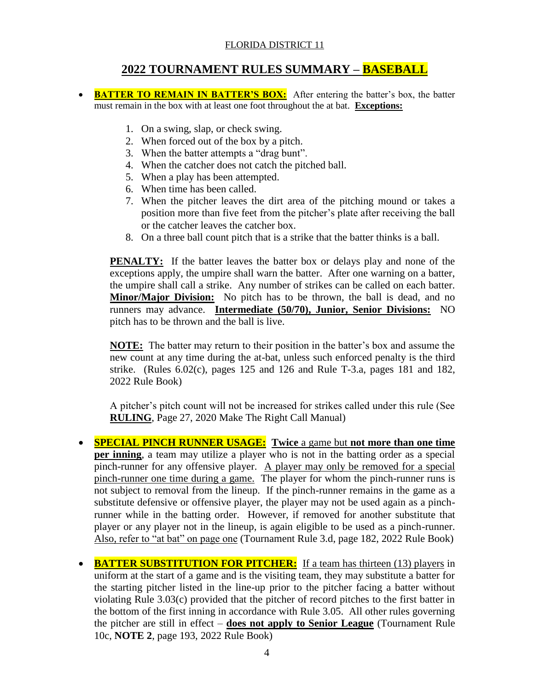# **2022 TOURNAMENT RULES SUMMARY – BASEBALL**

- **BATTER TO REMAIN IN BATTER'S BOX:** After entering the batter's box, the batter must remain in the box with at least one foot throughout the at bat. **Exceptions:**
	- 1. On a swing, slap, or check swing.
	- 2. When forced out of the box by a pitch.
	- 3. When the batter attempts a "drag bunt".
	- 4. When the catcher does not catch the pitched ball.
	- 5. When a play has been attempted.
	- 6. When time has been called.
	- 7. When the pitcher leaves the dirt area of the pitching mound or takes a position more than five feet from the pitcher's plate after receiving the ball or the catcher leaves the catcher box.
	- 8. On a three ball count pitch that is a strike that the batter thinks is a ball.

**PENALTY:** If the batter leaves the batter box or delays play and none of the exceptions apply, the umpire shall warn the batter. After one warning on a batter, the umpire shall call a strike. Any number of strikes can be called on each batter. **Minor/Major Division:** No pitch has to be thrown, the ball is dead, and no runners may advance. **Intermediate (50/70), Junior, Senior Divisions:** NO pitch has to be thrown and the ball is live.

**NOTE:** The batter may return to their position in the batter's box and assume the new count at any time during the at-bat, unless such enforced penalty is the third strike. (Rules  $6.02(c)$ , pages 125 and 126 and Rule T-3.a, pages 181 and 182, 2022 Rule Book)

A pitcher's pitch count will not be increased for strikes called under this rule (See **RULING**, Page 27, 2020 Make The Right Call Manual)

- **SPECIAL PINCH RUNNER USAGE: Twice** a game but **not more than one time per inning**, a team may utilize a player who is not in the batting order as a special pinch-runner for any offensive player. A player may only be removed for a special pinch-runner one time during a game. The player for whom the pinch-runner runs is not subject to removal from the lineup. If the pinch-runner remains in the game as a substitute defensive or offensive player, the player may not be used again as a pinchrunner while in the batting order. However, if removed for another substitute that player or any player not in the lineup, is again eligible to be used as a pinch-runner. Also, refer to "at bat" on page one (Tournament Rule 3.d, page 182, 2022 Rule Book)
- **BATTER SUBSTITUTION FOR PITCHER:** If a team has thirteen (13) players in uniform at the start of a game and is the visiting team, they may substitute a batter for the starting pitcher listed in the line-up prior to the pitcher facing a batter without violating Rule 3.03(c) provided that the pitcher of record pitches to the first batter in the bottom of the first inning in accordance with Rule 3.05. All other rules governing the pitcher are still in effect – **does not apply to Senior League** (Tournament Rule 10c, **NOTE 2**, page 193, 2022 Rule Book)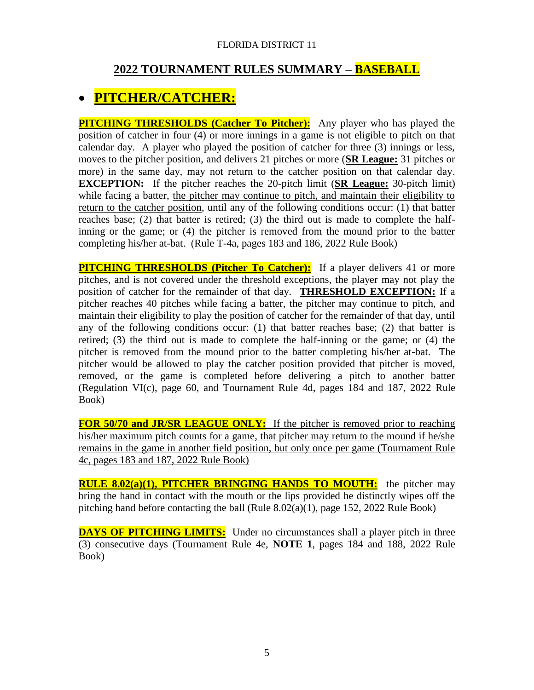# **2022 TOURNAMENT RULES SUMMARY – BASEBALL**

# **PITCHER/CATCHER:**

**PITCHING THRESHOLDS (Catcher To Pitcher):** Any player who has played the position of catcher in four (4) or more innings in a game is not eligible to pitch on that calendar day. A player who played the position of catcher for three (3) innings or less, moves to the pitcher position, and delivers 21 pitches or more (**SR League:** 31 pitches or more) in the same day, may not return to the catcher position on that calendar day. **EXCEPTION:** If the pitcher reaches the 20-pitch limit (**SR League:** 30-pitch limit) while facing a batter, the pitcher may continue to pitch, and maintain their eligibility to return to the catcher position, until any of the following conditions occur: (1) that batter reaches base; (2) that batter is retired; (3) the third out is made to complete the halfinning or the game; or (4) the pitcher is removed from the mound prior to the batter completing his/her at-bat. (Rule T-4a, pages 183 and 186, 2022 Rule Book)

**PITCHING THRESHOLDS (Pitcher To Catcher):** If a player delivers 41 or more pitches, and is not covered under the threshold exceptions, the player may not play the position of catcher for the remainder of that day. **THRESHOLD EXCEPTION:** If a pitcher reaches 40 pitches while facing a batter, the pitcher may continue to pitch, and maintain their eligibility to play the position of catcher for the remainder of that day, until any of the following conditions occur: (1) that batter reaches base; (2) that batter is retired; (3) the third out is made to complete the half-inning or the game; or (4) the pitcher is removed from the mound prior to the batter completing his/her at-bat. The pitcher would be allowed to play the catcher position provided that pitcher is moved, removed, or the game is completed before delivering a pitch to another batter (Regulation VI(c), page 60, and Tournament Rule 4d, pages 184 and 187, 2022 Rule Book)

**FOR 50/70 and JR/SR LEAGUE ONLY:** If the pitcher is removed prior to reaching his/her maximum pitch counts for a game, that pitcher may return to the mound if he/she remains in the game in another field position, but only once per game (Tournament Rule 4c, pages 183 and 187, 2022 Rule Book)

**RULE 8.02(a)(1), PITCHER BRINGING HANDS TO MOUTH:** the pitcher may bring the hand in contact with the mouth or the lips provided he distinctly wipes off the pitching hand before contacting the ball (Rule 8.02(a)(1), page 152, 2022 Rule Book)

**DAYS OF PITCHING LIMITS:** Under no circumstances shall a player pitch in three (3) consecutive days (Tournament Rule 4e, **NOTE 1**, pages 184 and 188, 2022 Rule Book)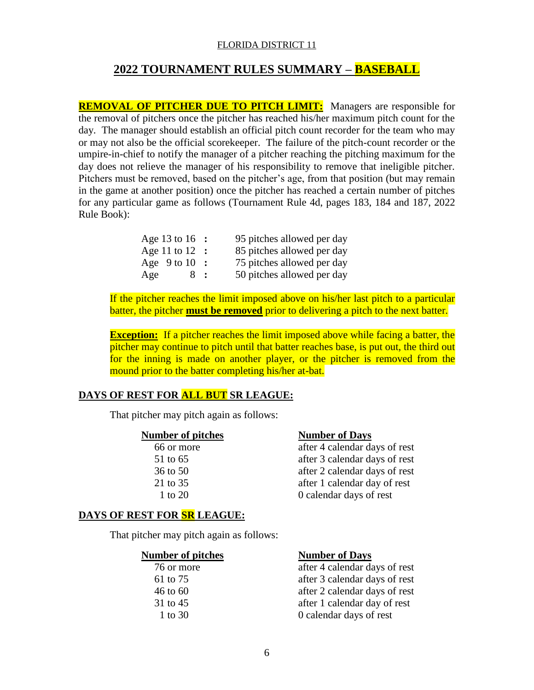# **2022 TOURNAMENT RULES SUMMARY – BASEBALL**

**REMOVAL OF PITCHER DUE TO PITCH LIMIT:** Managers are responsible for the removal of pitchers once the pitcher has reached his/her maximum pitch count for the day. The manager should establish an official pitch count recorder for the team who may or may not also be the official scorekeeper. The failure of the pitch-count recorder or the umpire-in-chief to notify the manager of a pitcher reaching the pitching maximum for the day does not relieve the manager of his responsibility to remove that ineligible pitcher. Pitchers must be removed, based on the pitcher's age, from that position (but may remain in the game at another position) once the pitcher has reached a certain number of pitches for any particular game as follows (Tournament Rule 4d, pages 183, 184 and 187, 2022 Rule Book):

| Age 13 to 16 :    | 95 pitches allowed per day |
|-------------------|----------------------------|
| Age 11 to $12$ :  | 85 pitches allowed per day |
| Age $9$ to $10$ : | 75 pitches allowed per day |
| Age<br>8:         | 50 pitches allowed per day |

If the pitcher reaches the limit imposed above on his/her last pitch to a particular batter, the pitcher **must be removed** prior to delivering a pitch to the next batter.

**Exception:** If a pitcher reaches the limit imposed above while facing a batter, the pitcher may continue to pitch until that batter reaches base, is put out, the third out for the inning is made on another player, or the pitcher is removed from the mound prior to the batter completing his/her at-bat.

## **DAYS OF REST FOR ALL BUT SR LEAGUE:**

That pitcher may pitch again as follows:

#### **Number of pitches Number of Days**

 66 or more after 4 calendar days of rest 51 to 65 after 3 calendar days of rest 36 to 50 after 2 calendar days of rest 21 to 35 after 1 calendar day of rest 1 to 20 0 calendar days of rest

### **DAYS OF REST FOR SR LEAGUE:**

That pitcher may pitch again as follows:

#### **Number of pitches Number of Days**

| 76 or more   | after 4 calendar days of rest |
|--------------|-------------------------------|
| 61 to 75     | after 3 calendar days of rest |
| $46$ to $60$ | after 2 calendar days of rest |
| 31 to 45     | after 1 calendar day of rest  |
| 1 to 30      | 0 calendar days of rest       |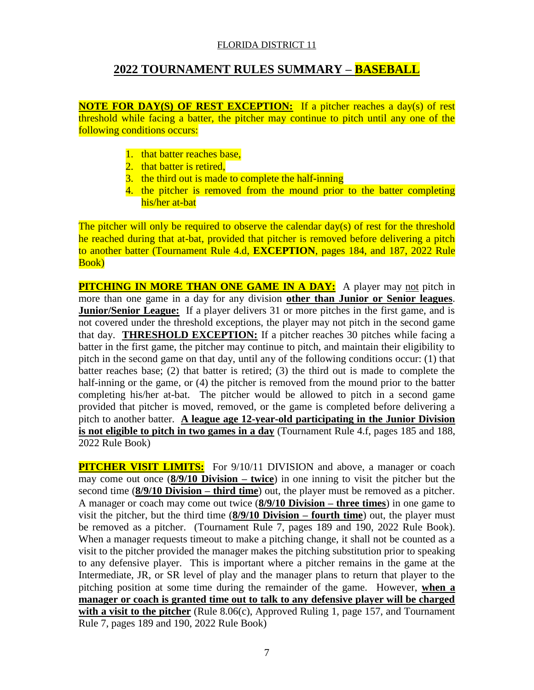# **2022 TOURNAMENT RULES SUMMARY – BASEBALL**

**NOTE FOR DAY(S) OF REST EXCEPTION:** If a pitcher reaches a day(s) of rest threshold while facing a batter, the pitcher may continue to pitch until any one of the following conditions occurs:

- 1. that batter reaches base,
- 2. that batter is retired,
- 3. the third out is made to complete the half-inning
- 4. the pitcher is removed from the mound prior to the batter completing his/her at-bat

The pitcher will only be required to observe the calendar day(s) of rest for the threshold he reached during that at-bat, provided that pitcher is removed before delivering a pitch to another batter (Tournament Rule 4.d, **EXCEPTION**, pages 184, and 187, 2022 Rule Book)

**PITCHING IN MORE THAN ONE GAME IN A DAY:** A player may not pitch in more than one game in a day for any division **other than Junior or Senior leagues**. **Junior/Senior League:** If a player delivers 31 or more pitches in the first game, and is not covered under the threshold exceptions, the player may not pitch in the second game that day. **THRESHOLD EXCEPTION:** If a pitcher reaches 30 pitches while facing a batter in the first game, the pitcher may continue to pitch, and maintain their eligibility to pitch in the second game on that day, until any of the following conditions occur: (1) that batter reaches base; (2) that batter is retired; (3) the third out is made to complete the half-inning or the game, or (4) the pitcher is removed from the mound prior to the batter completing his/her at-bat. The pitcher would be allowed to pitch in a second game provided that pitcher is moved, removed, or the game is completed before delivering a pitch to another batter. **A league age 12-year-old participating in the Junior Division is not eligible to pitch in two games in a day** (Tournament Rule 4.f, pages 185 and 188, 2022 Rule Book)

**PITCHER VISIT LIMITS:** For 9/10/11 DIVISION and above, a manager or coach may come out once (**8/9/10 Division – twice**) in one inning to visit the pitcher but the second time (**8/9/10 Division – third time**) out, the player must be removed as a pitcher. A manager or coach may come out twice (**8/9/10 Division – three times**) in one game to visit the pitcher, but the third time (**8/9/10 Division – fourth time**) out, the player must be removed as a pitcher. (Tournament Rule 7, pages 189 and 190, 2022 Rule Book). When a manager requests timeout to make a pitching change, it shall not be counted as a visit to the pitcher provided the manager makes the pitching substitution prior to speaking to any defensive player. This is important where a pitcher remains in the game at the Intermediate, JR, or SR level of play and the manager plans to return that player to the pitching position at some time during the remainder of the game. However, **when a manager or coach is granted time out to talk to any defensive player will be charged**  with a visit to the pitcher (Rule 8.06(c), Approved Ruling 1, page 157, and Tournament Rule 7, pages 189 and 190, 2022 Rule Book)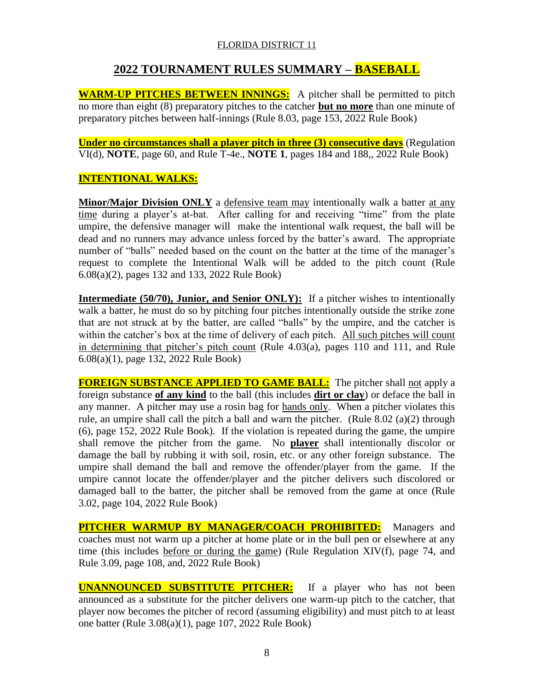# **2022 TOURNAMENT RULES SUMMARY – BASEBALL**

**WARM-UP PITCHES BETWEEN INNINGS:** A pitcher shall be permitted to pitch no more than eight (8) preparatory pitches to the catcher **but no more** than one minute of preparatory pitches between half-innings (Rule 8.03, page 153, 2022 Rule Book)

**Under no circumstances shall a player pitch in three (3) consecutive days** (Regulation VI(d), **NOTE**, page 60, and Rule T-4e., **NOTE 1**, pages 184 and 188,, 2022 Rule Book)

## **INTENTIONAL WALKS:**

**Minor/Major Division ONLY** a defensive team may intentionally walk a batter at any time during a player's at-bat. After calling for and receiving "time" from the plate umpire, the defensive manager will make the intentional walk request, the ball will be dead and no runners may advance unless forced by the batter's award. The appropriate number of "balls" needed based on the count on the batter at the time of the manager's request to complete the Intentional Walk will be added to the pitch count (Rule 6.08(a)(2), pages 132 and 133, 2022 Rule Book)

**Intermediate (50/70), Junior, and Senior ONLY):** If a pitcher wishes to intentionally walk a batter, he must do so by pitching four pitches intentionally outside the strike zone that are not struck at by the batter, are called "balls" by the umpire, and the catcher is within the catcher's box at the time of delivery of each pitch. All such pitches will count in determining that pitcher's pitch count (Rule 4.03(a), pages 110 and 111, and Rule 6.08(a)(1), page 132, 2022 Rule Book)

**FOREIGN SUBSTANCE APPLIED TO GAME BALL:** The pitcher shall not apply a foreign substance **of any kind** to the ball (this includes **dirt or clay**) or deface the ball in any manner. A pitcher may use a rosin bag for hands only. When a pitcher violates this rule, an umpire shall call the pitch a ball and warn the pitcher. (Rule 8.02 (a)(2) through (6), page 152, 2022 Rule Book). If the violation is repeated during the game, the umpire shall remove the pitcher from the game. No **player** shall intentionally discolor or damage the ball by rubbing it with soil, rosin, etc. or any other foreign substance. The umpire shall demand the ball and remove the offender/player from the game. If the umpire cannot locate the offender/player and the pitcher delivers such discolored or damaged ball to the batter, the pitcher shall be removed from the game at once (Rule 3.02, page 104, 2022 Rule Book)

**PITCHER WARMUP BY MANAGER/COACH PROHIBITED:** Managers and coaches must not warm up a pitcher at home plate or in the bull pen or elsewhere at any time (this includes before or during the game) (Rule Regulation XIV(f), page 74, and Rule 3.09, page 108, and, 2022 Rule Book)

**UNANNOUNCED SUBSTITUTE PITCHER:** If a player who has not been announced as a substitute for the pitcher delivers one warm-up pitch to the catcher, that player now becomes the pitcher of record (assuming eligibility) and must pitch to at least one batter (Rule 3.08(a)(1), page 107, 2022 Rule Book)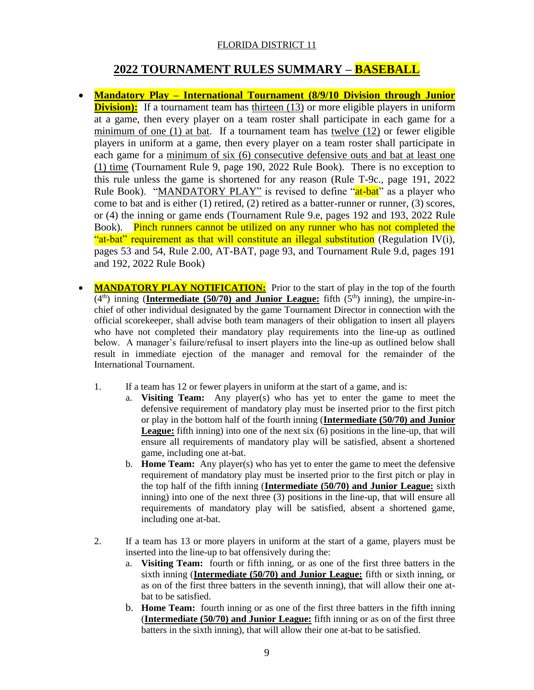# **2022 TOURNAMENT RULES SUMMARY – BASEBALL**

- **Mandatory Play – International Tournament (8/9/10 Division through Junior Division):** If a tournament team has thirteen (13) or more eligible players in uniform at a game, then every player on a team roster shall participate in each game for a minimum of one (1) at bat. If a tournament team has twelve (12) or fewer eligible players in uniform at a game, then every player on a team roster shall participate in each game for a minimum of six (6) consecutive defensive outs and bat at least one (1) time (Tournament Rule 9, page 190, 2022 Rule Book). There is no exception to this rule unless the game is shortened for any reason (Rule T-9c., page 191, 2022 Rule Book). "MANDATORY PLAY" is revised to define "at-bat" as a player who come to bat and is either (1) retired, (2) retired as a batter-runner or runner, (3) scores, or (4) the inning or game ends (Tournament Rule 9.e, pages 192 and 193, 2022 Rule Book). Pinch runners cannot be utilized on any runner who has not completed the "at-bat" requirement as that will constitute an illegal substitution (Regulation IV(i), pages 53 and 54, Rule 2.00, AT-BAT, page 93, and Tournament Rule 9.d, pages 191 and 192, 2022 Rule Book)
- **MANDATORY PLAY NOTIFICATION:** Prior to the start of play in the top of the fourth  $(4<sup>th</sup>)$  inning (**Intermediate (50/70) and Junior League:** fifth  $(5<sup>th</sup>)$  inning), the umpire-inchief of other individual designated by the game Tournament Director in connection with the official scorekeeper, shall advise both team managers of their obligation to insert all players who have not completed their mandatory play requirements into the line-up as outlined below. A manager's failure/refusal to insert players into the line-up as outlined below shall result in immediate ejection of the manager and removal for the remainder of the International Tournament.
	- 1. If a team has 12 or fewer players in uniform at the start of a game, and is:
		- a. **Visiting Team:** Any player(s) who has yet to enter the game to meet the defensive requirement of mandatory play must be inserted prior to the first pitch or play in the bottom half of the fourth inning (**Intermediate (50/70) and Junior League:** fifth inning) into one of the next six (6) positions in the line-up, that will ensure all requirements of mandatory play will be satisfied, absent a shortened game, including one at-bat.
			- b. **Home Team:** Any player(s) who has yet to enter the game to meet the defensive requirement of mandatory play must be inserted prior to the first pitch or play in the top half of the fifth inning (**Intermediate (50/70) and Junior League:** sixth inning) into one of the next three (3) positions in the line-up, that will ensure all requirements of mandatory play will be satisfied, absent a shortened game, including one at-bat.
	- 2. If a team has 13 or more players in uniform at the start of a game, players must be inserted into the line-up to bat offensively during the:
		- a. **Visiting Team:** fourth or fifth inning, or as one of the first three batters in the sixth inning (**Intermediate (50/70) and Junior League:** fifth or sixth inning, or as on of the first three batters in the seventh inning), that will allow their one atbat to be satisfied.
		- b. **Home Team:** fourth inning or as one of the first three batters in the fifth inning (**Intermediate (50/70) and Junior League:** fifth inning or as on of the first three batters in the sixth inning), that will allow their one at-bat to be satisfied.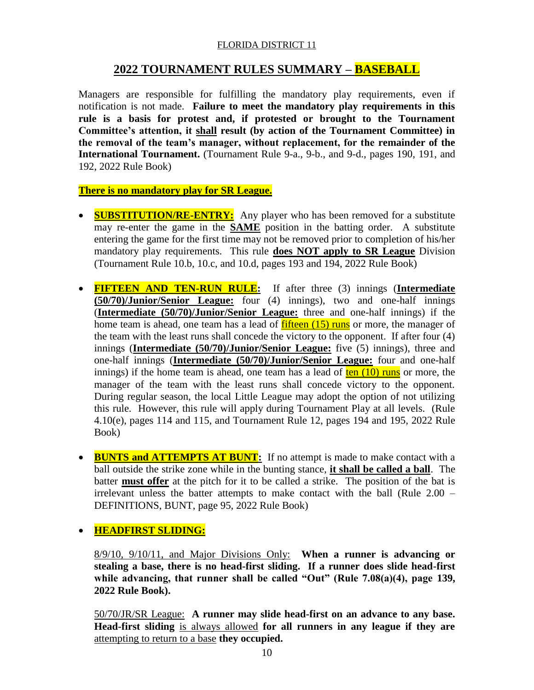# **2022 TOURNAMENT RULES SUMMARY – BASEBALL**

Managers are responsible for fulfilling the mandatory play requirements, even if notification is not made. **Failure to meet the mandatory play requirements in this rule is a basis for protest and, if protested or brought to the Tournament Committee's attention, it shall result (by action of the Tournament Committee) in the removal of the team's manager, without replacement, for the remainder of the International Tournament.** (Tournament Rule 9-a., 9-b., and 9-d., pages 190, 191, and 192, 2022 Rule Book)

**There is no mandatory play for SR League.**

- **SUBSTITUTION/RE-ENTRY:** Any player who has been removed for a substitute may re-enter the game in the **SAME** position in the batting order. A substitute entering the game for the first time may not be removed prior to completion of his/her mandatory play requirements. This rule **does NOT apply to SR League** Division (Tournament Rule 10.b, 10.c, and 10.d, pages 193 and 194, 2022 Rule Book)
- **FIFTEEN AND TEN-RUN RULE:** If after three (3) innings (**Intermediate (50/70)/Junior/Senior League:** four (4) innings), two and one-half innings (**Intermediate (50/70)/Junior/Senior League:** three and one-half innings) if the home team is ahead, one team has a lead of **fifteen** (15) runs or more, the manager of the team with the least runs shall concede the victory to the opponent. If after four (4) innings (**Intermediate (50/70)/Junior/Senior League:** five (5) innings), three and one-half innings (**Intermediate (50/70)/Junior/Senior League:** four and one-half innings) if the home team is ahead, one team has a lead of  $\frac{\tan(10)}{\tan(10)}$  runs or more, the manager of the team with the least runs shall concede victory to the opponent. During regular season, the local Little League may adopt the option of not utilizing this rule. However, this rule will apply during Tournament Play at all levels. (Rule 4.10(e), pages 114 and 115, and Tournament Rule 12, pages 194 and 195, 2022 Rule Book)
- **BUNTS and ATTEMPTS AT BUNT:** If no attempt is made to make contact with a ball outside the strike zone while in the bunting stance, **it shall be called a ball**. The batter **must offer** at the pitch for it to be called a strike. The position of the bat is irrelevant unless the batter attempts to make contact with the ball (Rule 2.00 – DEFINITIONS, BUNT, page 95, 2022 Rule Book)

**HEADFIRST SLIDING:**

8/9/10, 9/10/11, and Major Divisions Only: **When a runner is advancing or stealing a base, there is no head-first sliding. If a runner does slide head-first while advancing, that runner shall be called "Out" (Rule 7.08(a)(4), page 139, 2022 Rule Book).** 

50/70/JR/SR League: **A runner may slide head-first on an advance to any base. Head-first sliding** is always allowed **for all runners in any league if they are**  attempting to return to a base **they occupied.**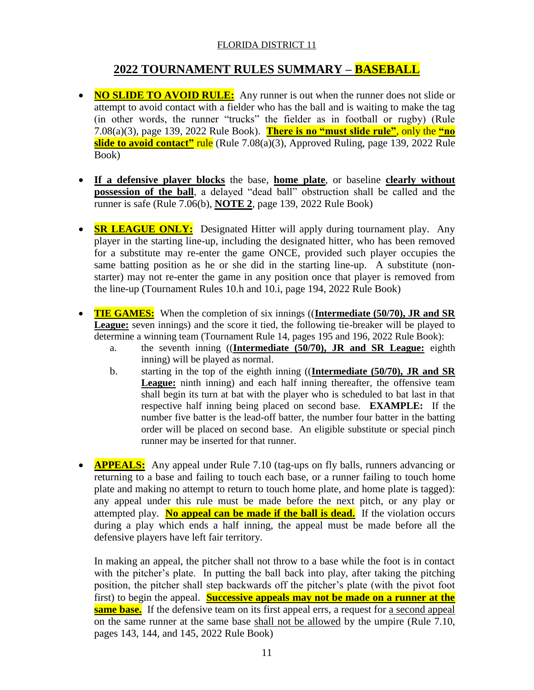# **2022 TOURNAMENT RULES SUMMARY – BASEBALL**

- **NO SLIDE TO AVOID RULE:** Any runner is out when the runner does not slide or attempt to avoid contact with a fielder who has the ball and is waiting to make the tag (in other words, the runner "trucks" the fielder as in football or rugby) (Rule 7.08(a)(3), page 139, 2022 Rule Book). **There is no "must slide rule"**, only the **"no slide to avoid contact"** rule (Rule 7.08(a)(3), Approved Ruling, page 139, 2022 Rule Book)
- **If a defensive player blocks** the base, **home plate**, or baseline **clearly without possession of the ball**, a delayed "dead ball" obstruction shall be called and the runner is safe (Rule 7.06(b), **NOTE 2**, page 139, 2022 Rule Book)
- **SR LEAGUE ONLY:** Designated Hitter will apply during tournament play. Any player in the starting line-up, including the designated hitter, who has been removed for a substitute may re-enter the game ONCE, provided such player occupies the same batting position as he or she did in the starting line-up. A substitute (nonstarter) may not re-enter the game in any position once that player is removed from the line-up (Tournament Rules 10.h and 10.i, page 194, 2022 Rule Book)
- **TIE GAMES:** When the completion of six innings ((**Intermediate (50/70), JR and SR League:** seven innings) and the score it tied, the following tie-breaker will be played to determine a winning team (Tournament Rule 14, pages 195 and 196, 2022 Rule Book):
	- a. the seventh inning ((**Intermediate (50/70), JR and SR League:** eighth inning) will be played as normal.
	- b. starting in the top of the eighth inning ((**Intermediate (50/70), JR and SR**  League: ninth inning) and each half inning thereafter, the offensive team shall begin its turn at bat with the player who is scheduled to bat last in that respective half inning being placed on second base. **EXAMPLE:** If the number five batter is the lead-off batter, the number four batter in the batting order will be placed on second base. An eligible substitute or special pinch runner may be inserted for that runner.
- **APPEALS:** Any appeal under Rule 7.10 (tag-ups on fly balls, runners advancing or returning to a base and failing to touch each base, or a runner failing to touch home plate and making no attempt to return to touch home plate, and home plate is tagged): any appeal under this rule must be made before the next pitch, or any play or attempted play. **No appeal can be made if the ball is dead.** If the violation occurs during a play which ends a half inning, the appeal must be made before all the defensive players have left fair territory.

In making an appeal, the pitcher shall not throw to a base while the foot is in contact with the pitcher's plate. In putting the ball back into play, after taking the pitching position, the pitcher shall step backwards off the pitcher's plate (with the pivot foot first) to begin the appeal. **Successive appeals may not be made on a runner at the same base.** If the defensive team on its first appeal errs, a request for a second appeal on the same runner at the same base shall not be allowed by the umpire (Rule 7.10, pages 143, 144, and 145, 2022 Rule Book)